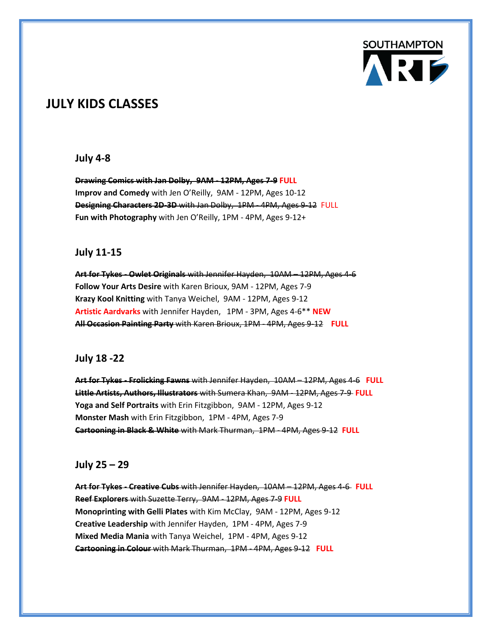

## **JULY KIDS CLASSES**

### **July 4-8**

**Drawing Comics with Jan Dolby, 9AM - 12PM, Ages 7-9 FULL Improv and Comedy** with Jen O'Reilly, 9AM - 12PM, Ages 10-12 **Designing Characters 2D-3D** with Jan Dolby, 1PM - 4PM, Ages 9-12 FULL **Fun with Photography** with Jen O'Reilly, 1PM - 4PM, Ages 9-12+

### **July 11-15**

**Art for Tykes - Owlet Originals** with Jennifer Hayden, 10AM – 12PM, Ages 4-6 **Follow Your Arts Desire** with Karen Brioux, 9AM - 12PM, Ages 7-9 **Krazy Kool Knitting** with Tanya Weichel, 9AM - 12PM, Ages 9-12 **Artistic Aardvarks** with Jennifer Hayden, 1PM - 3PM, Ages 4-6\*\* **NEW All Occasion Painting Party** with Karen Brioux, 1PM - 4PM, Ages 9-12 **FULL**

#### **July 18 -22**

**Art for Tykes - Frolicking Fawns** with Jennifer Hayden, 10AM – 12PM, Ages 4-6 **FULL Little Artists, Authors, Illustrators** with Sumera Khan, 9AM - 12PM, Ages 7-9 **FULL Yoga and Self Portraits** with Erin Fitzgibbon, 9AM - 12PM, Ages 9-12 **Monster Mash** with Erin Fitzgibbon, 1PM - 4PM, Ages 7-9 **Cartooning in Black & White** with Mark Thurman, 1PM - 4PM, Ages 9-12 **FULL**

### **July 25 – 29**

**Art for Tykes - Creative Cubs** with Jennifer Hayden, 10AM – 12PM, Ages 4-6 **FULL Reef Explorers** with Suzette Terry, 9AM - 12PM, Ages 7-9 **FULL Monoprinting with Gelli Plates** with Kim McClay, 9AM - 12PM, Ages 9-12 **Creative Leadership** with Jennifer Hayden, 1PM - 4PM, Ages 7-9 **Mixed Media Mania** with Tanya Weichel, 1PM - 4PM, Ages 9-12 **Cartooning in Colour** with Mark Thurman, 1PM - 4PM, Ages 9-12 **FULL**